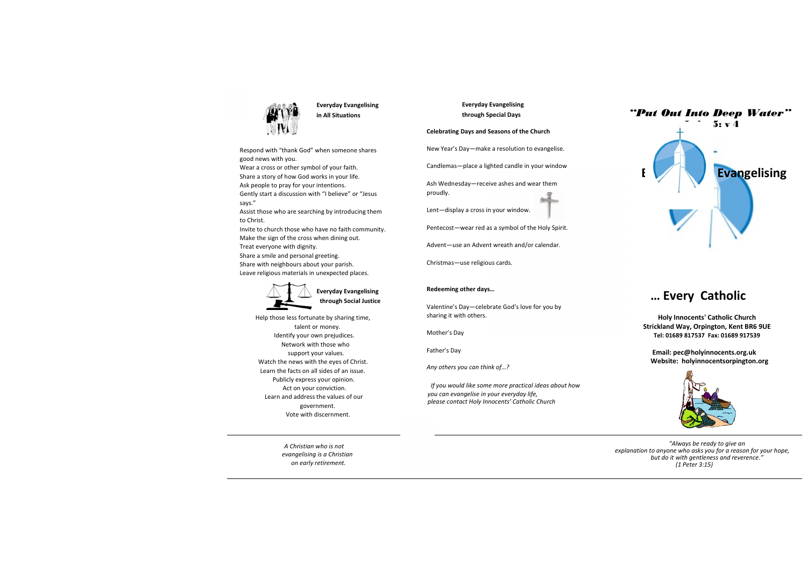

Everyday Evangelising in All Situations

Respond with "thank God" when someone shares good news with you.

Wear a cross or other symbol of your faith.

Share a story of how God works in your life.

Ask people to pray for your intentions.

Gently start a discussion with "I believe" or "Jesus says."

Assist those who are searching by introducing them to Christ.

Invite to church those who have no faith community. Make the sign of the cross when dining out.

Treat everyone with dignity.

Share a smile and personal greeting.

Share with neighbours about your parish.

Leave religious materials in unexpected places.



Everyday Evangelising through Social Justice

Help those less fortunate by sharing time, talent or money. Identify your own prejudices. Network with those who support your values. Watch the news with the eyes of Christ. Learn the facts on all sides of an issue. Publicly express your opinion. Act on your conviction. Learn and address the values of our government. Vote with discernment.

> A Christian who is not evangelising is a Christian on early retirement.

 Everyday Evangelising through Special Days

### Celebrating Days and Seasons of the Church

New Year's Day—make a resolution to evangelise.

Candlemas—place a lighted candle in your window

Ash Wednesday—receive ashes and wear them proudly.

Lent—display a cross in your window.

Pentecost—wear red as a symbol of the Holy Spirit.

Advent—use an Advent wreath and/or calendar.

Christmas—use religious cards.

## Redeeming other days…

Valentine's Day—celebrate God's love for you by sharing it with others.

Mother's Day

Father's Day

Any others you can think of…?

If you would like some more practical ideas about how you can evangelise in your everyday life, please contact Holy Innocents' Catholic Church



# … Every Catholic

Holy Innocents' Catholic Church Strickland Way, Orpington, Kent BR6 9UE Tel: 01689 817537 Fax: 01689 917539

 Email: pec@holyinnocents.org.uk Website: holyinnocentsorpington.org



 "Always be ready to give an explanation to anyone who asks you for a reason for your hope, but do it with gentleness and reverence." (1 Peter 3:15)